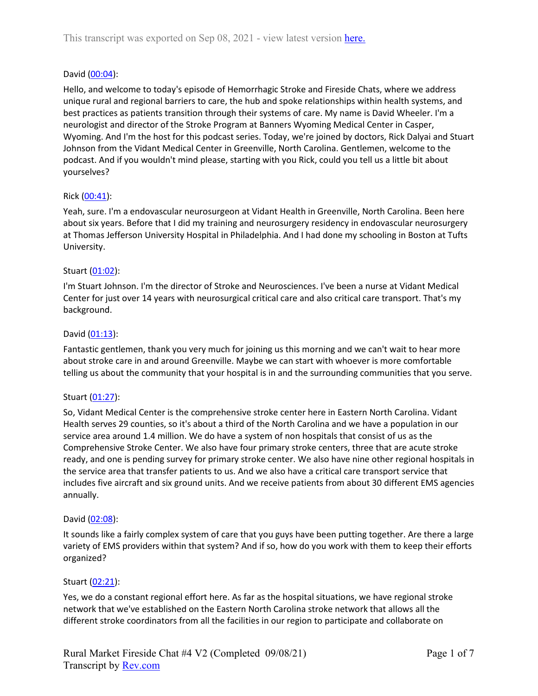## David [\(00:04\)](https://www.rev.com/transcript-editor/Edit?token=Prr-TZVR2yZPJN4MTFyVEyaVskziLgJ-AWpD9yzpFV9irIUc4JcKDKuEc1Iz6NIcfMlZonNnnrS8Uh5Jo-yMygyqExg&loadFrom=DocumentDeeplink&ts=4.31):

Hello, and welcome to today's episode of Hemorrhagic Stroke and Fireside Chats, where we address unique rural and regional barriers to care, the hub and spoke relationships within health systems, and best practices as patients transition through their systems of care. My name is David Wheeler. I'm a neurologist and director of the Stroke Program at Banners Wyoming Medical Center in Casper, Wyoming. And I'm the host for this podcast series. Today, we're joined by doctors, Rick Dalyai and Stuart Johnson from the Vidant Medical Center in Greenville, North Carolina. Gentlemen, welcome to the podcast. And if you wouldn't mind please, starting with you Rick, could you tell us a little bit about yourselves?

# Rick [\(00:41\)](https://www.rev.com/transcript-editor/Edit?token=i_8gqaO3WoMVubln4WQBayWOjzVRYUHmIFEmJoRtSGyu08fyknd0ere7HC0UQy39dky-ew8bldmKQc1Do9R8pAUeOqs&loadFrom=DocumentDeeplink&ts=41.36):

Yeah, sure. I'm a endovascular neurosurgeon at Vidant Health in Greenville, North Carolina. Been here about six years. Before that I did my training and neurosurgery residency in endovascular neurosurgery at Thomas Jefferson University Hospital in Philadelphia. And I had done my schooling in Boston at Tufts University.

## Stuart [\(01:02\)](https://www.rev.com/transcript-editor/Edit?token=SjjQ3XXPdMPGEv3V3UUw-0VkkDoQCv6w37hGmClWkl8KKWdho68UsaRA9Gd0M3eg5NVW1IT1NE35s-dJ74e7IaLOSdA&loadFrom=DocumentDeeplink&ts=62.17):

I'm Stuart Johnson. I'm the director of Stroke and Neurosciences. I've been a nurse at Vidant Medical Center for just over 14 years with neurosurgical critical care and also critical care transport. That's my background.

## David [\(01:13\)](https://www.rev.com/transcript-editor/Edit?token=k4gtGWt8_4zbfKIg-YCahiUHZ4jJIX0FpVJyq5JJOIEbCYf-BI2YkBSB_5A7IcbKib6GsYsNb-suDGh_N7gCuahS1gI&loadFrom=DocumentDeeplink&ts=73.88):

Fantastic gentlemen, thank you very much for joining us this morning and we can't wait to hear more about stroke care in and around Greenville. Maybe we can start with whoever is more comfortable telling us about the community that your hospital is in and the surrounding communities that you serve.

# Stuart [\(01:27\)](https://www.rev.com/transcript-editor/Edit?token=NDa7s2sQdP9zguOS3DqvYD_sliOVEy2AY5m6XzJt-zP63f-hNL8vvd2BuvUDoNCOPUdKTO-__Fso82BKqpJO70KYIZg&loadFrom=DocumentDeeplink&ts=87.85):

So, Vidant Medical Center is the comprehensive stroke center here in Eastern North Carolina. Vidant Health serves 29 counties, so it's about a third of the North Carolina and we have a population in our service area around 1.4 million. We do have a system of non hospitals that consist of us as the Comprehensive Stroke Center. We also have four primary stroke centers, three that are acute stroke ready, and one is pending survey for primary stroke center. We also have nine other regional hospitals in the service area that transfer patients to us. And we also have a critical care transport service that includes five aircraft and six ground units. And we receive patients from about 30 different EMS agencies annually.

## David [\(02:08\)](https://www.rev.com/transcript-editor/Edit?token=RuO7l3fyzIyqL5l1-vAJDFXU7hOQEw3GJFt0i5sHaXZfwyh9SrOvQeUr6BurUK90qCPyBRx4czVv6bL0M_YL73GfX7E&loadFrom=DocumentDeeplink&ts=128):

It sounds like a fairly complex system of care that you guys have been putting together. Are there a large variety of EMS providers within that system? And if so, how do you work with them to keep their efforts organized?

## Stuart [\(02:21\)](https://www.rev.com/transcript-editor/Edit?token=cltvZPhayvFIlRZtXWtq_deUCBkR6iFylAWf6-qwrqLlp7KHzCEkGRUuo19X6GCoDqGocSQN3mEz4LxLUrPxhoSX_Do&loadFrom=DocumentDeeplink&ts=141.73):

Yes, we do a constant regional effort here. As far as the hospital situations, we have regional stroke network that we've established on the Eastern North Carolina stroke network that allows all the different stroke coordinators from all the facilities in our region to participate and collaborate on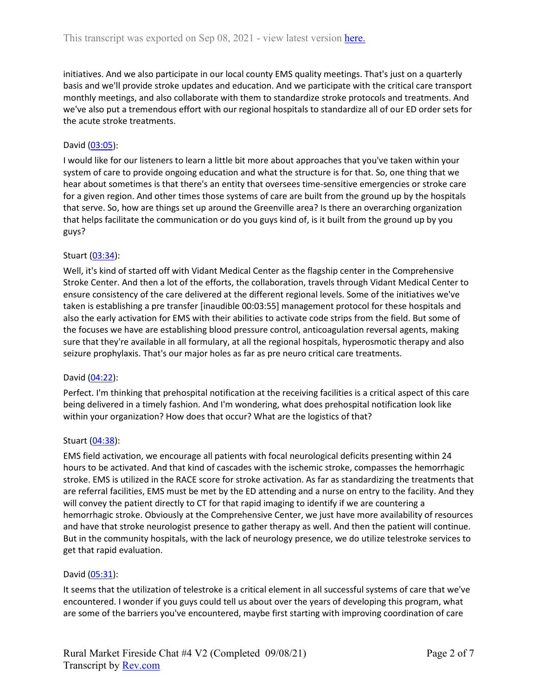initiatives. And we also participate in our local county EMS quality meetings. That's just on a quarterly basis and we'll provide stroke updates and education. And we participate with the critical care transport monthly meetings, and also collaborate with them to standardize stroke protocols and treatments. And we've also put a tremendous effort with our regional hospitals to standardize all of our ED order sets for the acute stroke treatments.

## David [\(03:05\)](https://www.rev.com/transcript-editor/Edit?token=yU9raf3vHxpbtGoJbtvPQkMMOw-wVlm4Sjec-z70nJKhqgWdBcUCJWA15bPBVM5o7NVy8xORewuOY0E2rxDWFMyLfx4&loadFrom=DocumentDeeplink&ts=185.46):

I would like for our listeners to learn a little bit more about approaches that you've taken within your system of care to provide ongoing education and what the structure is for that. So, one thing that we hear about sometimes is that there's an entity that oversees time-sensitive emergencies or stroke care for a given region. And other times those systems of care are built from the ground up by the hospitals that serve. So, how are things set up around the Greenville area? Is there an overarching organization that helps facilitate the communication or do you guys kind of, is it built from the ground up by you guys?

## Stuart [\(03:34\)](https://www.rev.com/transcript-editor/Edit?token=1bVLYds-8k4R2xDkQ3_80LXYpbhhHv6xTLPDnt4aJRW1GqUddljxleoLgnKblNCyLMnnT60DxzJYRoB654UoRE9hER4&loadFrom=DocumentDeeplink&ts=214.63):

Well, it's kind of started off with Vidant Medical Center as the flagship center in the Comprehensive Stroke Center. And then a lot of the efforts, the collaboration, travels through Vidant Medical Center to ensure consistency of the care delivered at the different regional levels. Some of the initiatives we've taken is establishing a pre transfer [inaudible 00:03:55] management protocol for these hospitals and also the early activation for EMS with their abilities to activate code strips from the field. But some of the focuses we have are establishing blood pressure control, anticoagulation reversal agents, making sure that they're available in all formulary, at all the regional hospitals, hyperosmotic therapy and also seizure prophylaxis. That's our major holes as far as pre neuro critical care treatments.

## David [\(04:22\)](https://www.rev.com/transcript-editor/Edit?token=Q4t4Y4ArOF-hnzHZR0JNcgxVHezW8rQ1vObius53sGdyN_B4pYTODyYbfxlv5JnHoPEJ8Yb4UaPpxPYckIKMImbEKQY&loadFrom=DocumentDeeplink&ts=262.61):

Perfect. I'm thinking that prehospital notification at the receiving facilities is a critical aspect of this care being delivered in a timely fashion. And I'm wondering, what does prehospital notification look like within your organization? How does that occur? What are the logistics of that?

## Stuart [\(04:38\)](https://www.rev.com/transcript-editor/Edit?token=4qdNZwcvUY9ZaJgImM_qBpy9pYcYhZuBai54IB0p_rtawUbnPQiCSJ15zLz5gJQOLvbCViy6-LpKB9duwB-gJmAasvc&loadFrom=DocumentDeeplink&ts=278.87):

EMS field activation, we encourage all patients with focal neurological deficits presenting within 24 hours to be activated. And that kind of cascades with the ischemic stroke, compasses the hemorrhagic stroke. EMS is utilized in the RACE score for stroke activation. As far as standardizing the treatments that are referral facilities, EMS must be met by the ED attending and a nurse on entry to the facility. And they will convey the patient directly to CT for that rapid imaging to identify if we are countering a hemorrhagic stroke. Obviously at the Comprehensive Center, we just have more availability of resources and have that stroke neurologist presence to gather therapy as well. And then the patient will continue. But in the community hospitals, with the lack of neurology presence, we do utilize telestroke services to get that rapid evaluation.

#### David [\(05:31\)](https://www.rev.com/transcript-editor/Edit?token=rz6LuLjWKwUsDifEaKkiY8_GU0gb3o68H3YPs3iuw_Gll96GbXN1G081DllLP1Qr4oO_jaB4dPnhp5PRxehwHplMmtQ&loadFrom=DocumentDeeplink&ts=331.47):

It seems that the utilization of telestroke is a critical element in all successful systems of care that we've encountered. I wonder if you guys could tell us about over the years of developing this program, what are some of the barriers you've encountered, maybe first starting with improving coordination of care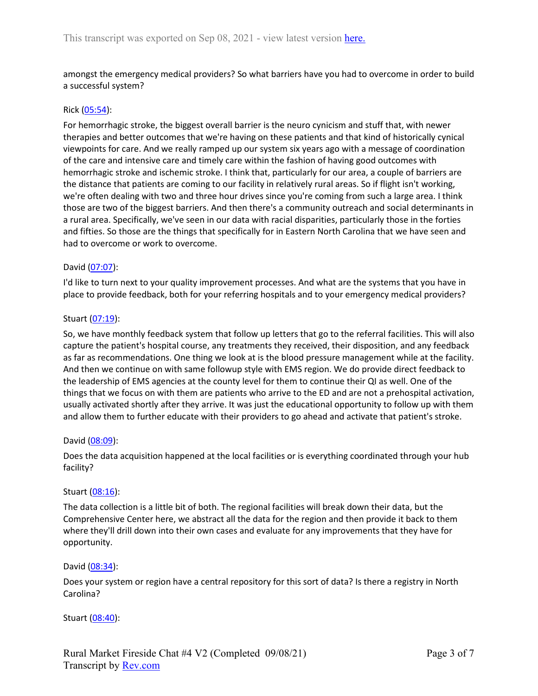amongst the emergency medical providers? So what barriers have you had to overcome in order to build a successful system?

#### Rick [\(05:54\)](https://www.rev.com/transcript-editor/Edit?token=OETw4H2AK8KBXEvj2MGUniYLs_n2VO1ldOXog-kVSSNqu14aE9cXn6bRPsqKoOtPUvGgOWD0x7Fw0hQnBsVy3UsFsdE&loadFrom=DocumentDeeplink&ts=354.84):

For hemorrhagic stroke, the biggest overall barrier is the neuro cynicism and stuff that, with newer therapies and better outcomes that we're having on these patients and that kind of historically cynical viewpoints for care. And we really ramped up our system six years ago with a message of coordination of the care and intensive care and timely care within the fashion of having good outcomes with hemorrhagic stroke and ischemic stroke. I think that, particularly for our area, a couple of barriers are the distance that patients are coming to our facility in relatively rural areas. So if flight isn't working, we're often dealing with two and three hour drives since you're coming from such a large area. I think those are two of the biggest barriers. And then there's a community outreach and social determinants in a rural area. Specifically, we've seen in our data with racial disparities, particularly those in the forties and fifties. So those are the things that specifically for in Eastern North Carolina that we have seen and had to overcome or work to overcome.

### David [\(07:07\)](https://www.rev.com/transcript-editor/Edit?token=nh6C7c44qlcKRfu0ZXMxyhmkuY6EIkGkeT-wLasbPxnXBbyAcHPOMVF8bLRl-JQ5WJt6BFt8d-_Aq0rZDFlfM1kK0-Q&loadFrom=DocumentDeeplink&ts=427.94):

I'd like to turn next to your quality improvement processes. And what are the systems that you have in place to provide feedback, both for your referring hospitals and to your emergency medical providers?

### Stuart [\(07:19\)](https://www.rev.com/transcript-editor/Edit?token=7XB7hIdLpYV9SOo7c73LnVGDRO30MwHbrnaI9DP-A2STxcGMd-Jy0Ywx2J-yPaejti5nzkLnNY8y032sFPYmXNvQauc&loadFrom=DocumentDeeplink&ts=439.98):

So, we have monthly feedback system that follow up letters that go to the referral facilities. This will also capture the patient's hospital course, any treatments they received, their disposition, and any feedback as far as recommendations. One thing we look at is the blood pressure management while at the facility. And then we continue on with same followup style with EMS region. We do provide direct feedback to the leadership of EMS agencies at the county level for them to continue their QI as well. One of the things that we focus on with them are patients who arrive to the ED and are not a prehospital activation, usually activated shortly after they arrive. It was just the educational opportunity to follow up with them and allow them to further educate with their providers to go ahead and activate that patient's stroke.

#### David [\(08:09\)](https://www.rev.com/transcript-editor/Edit?token=nZ42zCZUR8xFPBGadUyK36_vLdZShonEfLRN-u5ag8OIMOximcBozmGojFJxybfRIrKSd7VHzsbUQJGq1rnM-lHPPlE&loadFrom=DocumentDeeplink&ts=489.94):

Does the data acquisition happened at the local facilities or is everything coordinated through your hub facility?

#### Stuart [\(08:16\)](https://www.rev.com/transcript-editor/Edit?token=O2wk1LbdazyfjyrekmgkQ2dOXETkvmWcVGDJhwjexZc_Eq-ZrKxwPTfO4b8MJ1ancO-5hgBnUoAJxWzh5PUB3P36DlU&loadFrom=DocumentDeeplink&ts=496.8):

The data collection is a little bit of both. The regional facilities will break down their data, but the Comprehensive Center here, we abstract all the data for the region and then provide it back to them where they'll drill down into their own cases and evaluate for any improvements that they have for opportunity.

#### David [\(08:34\)](https://www.rev.com/transcript-editor/Edit?token=7JhF5AVgr6Ce8mfRcx-GqqLyxmPtKZnocNidVP17N6t36TYhTxDl5WUUrGrNLpxMK36dZPp2nDE7IB5s2Da4o2X4i6Q&loadFrom=DocumentDeeplink&ts=514.43):

Does your system or region have a central repository for this sort of data? Is there a registry in North Carolina?

Stuart [\(08:40\)](https://www.rev.com/transcript-editor/Edit?token=FkuPeRzWyd8nrkz4soWkRo2v50-qEfNZSgf2tRBv_bZHZBwdIapENnddbmCdmEntZlEwyT1R_a2el2PkvWjAGnKfNAM&loadFrom=DocumentDeeplink&ts=520.89):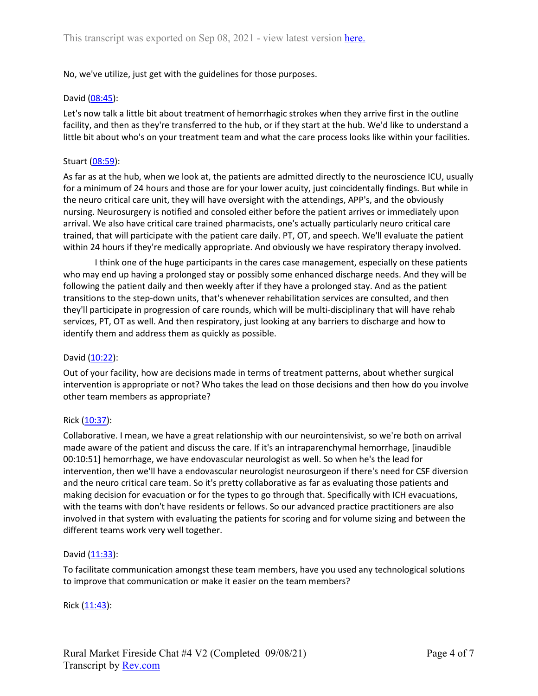No, we've utilize, just get with the guidelines for those purposes.

### David [\(08:45\)](https://www.rev.com/transcript-editor/Edit?token=jwaRsKB-46P7jcSIY8thCx4d_I1QHebmOzmKILncDBoEGc5mt07VmKGmHv17C4uIlpAaNePuOegJGjPaO5OLAMUCFuQ&loadFrom=DocumentDeeplink&ts=525.26):

Let's now talk a little bit about treatment of hemorrhagic strokes when they arrive first in the outline facility, and then as they're transferred to the hub, or if they start at the hub. We'd like to understand a little bit about who's on your treatment team and what the care process looks like within your facilities.

### Stuart [\(08:59\)](https://www.rev.com/transcript-editor/Edit?token=UmCSIp_t-N1IipXgDTvd8f_SC3gF88AVXfCyw4TUE-FMLb6IEeBrr0xDqPro0lhVKtIQ7jk5YIPODWiV0hSxEhGV_es&loadFrom=DocumentDeeplink&ts=539.88):

As far as at the hub, when we look at, the patients are admitted directly to the neuroscience ICU, usually for a minimum of 24 hours and those are for your lower acuity, just coincidentally findings. But while in the neuro critical care unit, they will have oversight with the attendings, APP's, and the obviously nursing. Neurosurgery is notified and consoled either before the patient arrives or immediately upon arrival. We also have critical care trained pharmacists, one's actually particularly neuro critical care trained, that will participate with the patient care daily. PT, OT, and speech. We'll evaluate the patient within 24 hours if they're medically appropriate. And obviously we have respiratory therapy involved.

I think one of the huge participants in the cares case management, especially on these patients who may end up having a prolonged stay or possibly some enhanced discharge needs. And they will be following the patient daily and then weekly after if they have a prolonged stay. And as the patient transitions to the step-down units, that's whenever rehabilitation services are consulted, and then they'll participate in progression of care rounds, which will be multi-disciplinary that will have rehab services, PT, OT as well. And then respiratory, just looking at any barriers to discharge and how to identify them and address them as quickly as possible.

## David [\(10:22\)](https://www.rev.com/transcript-editor/Edit?token=GPcj3GjKkvHgYqmeZKa_-xGaJJrcpE6kl2k_ejW0otM6-Dm9Skt8h61T21lF7IJGTdpVqTozjcUFOr3Ci7Vs4iGPsEk&loadFrom=DocumentDeeplink&ts=622.96):

Out of your facility, how are decisions made in terms of treatment patterns, about whether surgical intervention is appropriate or not? Who takes the lead on those decisions and then how do you involve other team members as appropriate?

## Rick [\(10:37\)](https://www.rev.com/transcript-editor/Edit?token=WQsVKyDLPkqRNYjrZBRld-PFxh9m5-EII0TPlxfVmZ3WpjLg0MN_9KjJNzpuyIlNr9g34ELtpN6DqlBDuiPO4cdP1mo&loadFrom=DocumentDeeplink&ts=637.7):

Collaborative. I mean, we have a great relationship with our neurointensivist, so we're both on arrival made aware of the patient and discuss the care. If it's an intraparenchymal hemorrhage, [inaudible 00:10:51] hemorrhage, we have endovascular neurologist as well. So when he's the lead for intervention, then we'll have a endovascular neurologist neurosurgeon if there's need for CSF diversion and the neuro critical care team. So it's pretty collaborative as far as evaluating those patients and making decision for evacuation or for the types to go through that. Specifically with ICH evacuations, with the teams with don't have residents or fellows. So our advanced practice practitioners are also involved in that system with evaluating the patients for scoring and for volume sizing and between the different teams work very well together.

#### David [\(11:33\)](https://www.rev.com/transcript-editor/Edit?token=Ri1-f9xPX3IltXXyEFB3wGy0LUK7EC9H4E5lT3l00G5CsCx8KsnO9McKQ_kx3hugbrO8Cv-P0EBEp2e2xBy7MFI0CLE&loadFrom=DocumentDeeplink&ts=693.68):

To facilitate communication amongst these team members, have you used any technological solutions to improve that communication or make it easier on the team members?

Rick  $(11:43)$ :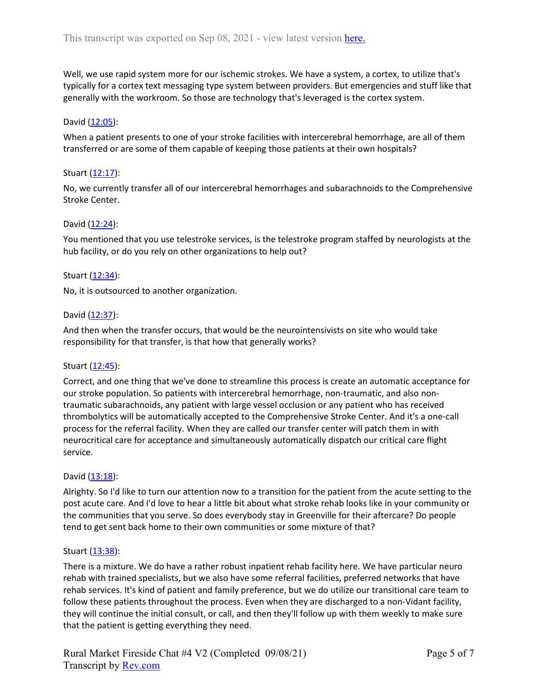Well, we use rapid system more for our ischemic strokes. We have a system, a cortex, to utilize that's typically for a cortex text messaging type system between providers. But emergencies and stuff like that generally with the workroom. So those are technology that's leveraged is the cortex system.

## David [\(12:05\)](https://www.rev.com/transcript-editor/Edit?token=QaKSKYpSEMfcXCb6Qh91aBKBbZIohkI0m9TZwqgsXaN4iTFqInZT686HjX4CKj9S_0cRxXuyi0KIYwcF1ezUO9KPYRk&loadFrom=DocumentDeeplink&ts=725.88):

When a patient presents to one of your stroke facilities with intercerebral hemorrhage, are all of them transferred or are some of them capable of keeping those patients at their own hospitals?

### Stuart [\(12:17\)](https://www.rev.com/transcript-editor/Edit?token=Cdw3QlTIWqXJT8UR9tmbU5ET8wDqFJqj6nkoGF0mh-iO3BxxfOV18gGrYS7FEA7D6WSDi1coUWIJdbVaoXsNcTr9Zrc&loadFrom=DocumentDeeplink&ts=737.45):

No, we currently transfer all of our intercerebral hemorrhages and subarachnoids to the Comprehensive Stroke Center.

### David [\(12:24\)](https://www.rev.com/transcript-editor/Edit?token=Lud1JPB1Qp5WfeWTGgZJ1F-TvC9LW9aCYmkQZNfC5zAWusRIQwJhjEfhGkTxwjg3AcsIh1W7Lvg7X2z1lxAFBoII3iI&loadFrom=DocumentDeeplink&ts=744.4):

You mentioned that you use telestroke services, is the telestroke program staffed by neurologists at the hub facility, or do you rely on other organizations to help out?

### Stuart [\(12:34\)](https://www.rev.com/transcript-editor/Edit?token=ZxfKk8HapMO26Xi3xb_-8YSzhPPOuz9L9FvePawicSUMYBF1WDUPYybwRilynEpFUjuKwJ3a_5iLPfi7J2igtHblY4g&loadFrom=DocumentDeeplink&ts=754.46):

No, it is outsourced to another organization.

### David [\(12:37\)](https://www.rev.com/transcript-editor/Edit?token=MTzzYV59Bk7iRn88gsQ5lENtrfhjFKvcL19dm2U9gGoDDN6C0jfL_AQVD1u8_Q_SrT94SQ27DKqM_vVeLR8a_sJIHVs&loadFrom=DocumentDeeplink&ts=757.9):

And then when the transfer occurs, that would be the neurointensivists on site who would take responsibility for that transfer, is that how that generally works?

#### Stuart [\(12:45\)](https://www.rev.com/transcript-editor/Edit?token=xGk9GRRIL4gCg0ODfWRWZNK5jdQcz6OAoWKbfrx2hqwKpSgEBas6OIegolNcFf9_gC10PD5F0g4IdL9adwdUtuLmjC4&loadFrom=DocumentDeeplink&ts=765.75):

Correct, and one thing that we've done to streamline this process is create an automatic acceptance for our stroke population. So patients with intercerebral hemorrhage, non-traumatic, and also nontraumatic subarachnoids, any patient with large vessel occlusion or any patient who has received thrombolytics will be automatically accepted to the Comprehensive Stroke Center. And it's a one-call process for the referral facility. When they are called our transfer center will patch them in with neurocritical care for acceptance and simultaneously automatically dispatch our critical care flight service.

## David [\(13:18\)](https://www.rev.com/transcript-editor/Edit?token=eAw44BicNhTRmuClMje37qc5rk2fCG2M-MAjfSq0kn4pe9qxCB-awO_4591-OzT-u2pik0RT_Zft7nKl9OzJVlL1TA8&loadFrom=DocumentDeeplink&ts=798.93):

Alrighty. So I'd like to turn our attention now to a transition for the patient from the acute setting to the post acute care. And I'd love to hear a little bit about what stroke rehab looks like in your community or the communities that you serve. So does everybody stay in Greenville for their aftercare? Do people tend to get sent back home to their own communities or some mixture of that?

#### Stuart [\(13:38\)](https://www.rev.com/transcript-editor/Edit?token=F4wznuKnHGCVqVLJ0wMoZAIQ1AWnp6pFPjFAZKv7tzM4OVHLMt7-elhtDONiDLMr93eTN0Vv86J1RPQ1AJI-LQAZXwc&loadFrom=DocumentDeeplink&ts=818.98):

There is a mixture. We do have a rather robust inpatient rehab facility here. We have particular neuro rehab with trained specialists, but we also have some referral facilities, preferred networks that have rehab services. It's kind of patient and family preference, but we do utilize our transitional care team to follow these patients throughout the process. Even when they are discharged to a non-Vidant facility, they will continue the initial consult, or call, and then they'll follow up with them weekly to make sure that the patient is getting everything they need.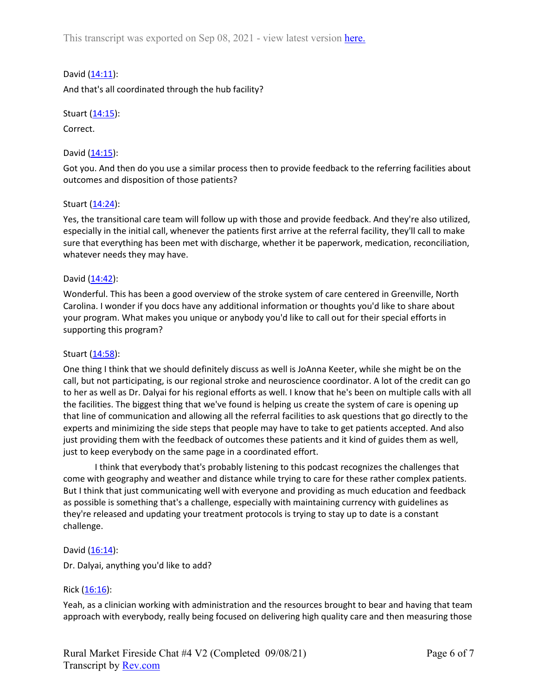This transcript was exported on Sep 08, 2021 - view latest version [here.](https://www.rev.com/transcript-editor/Edit?token=8CdjSKp0PkDzxEiLpRboYURca8FFkHKYH47FhUCv2uZd99yEh1BltCU9oh-dnDKa0lvS_UaAp0nKH940PUbEB0Y0-2E&loadFrom=DocumentHeaderDeepLink)

David [\(14:11\)](https://www.rev.com/transcript-editor/Edit?token=v6nAuT5PPT_yqZNlstdkMAdIipZwd6jvaN3xcQOa2GRT26IHXQdMD-NX8t8DJbXhKusgs2k_a-QykF7UcstKSw4tjT4&loadFrom=DocumentDeeplink&ts=851.42):

And that's all coordinated through the hub facility?

Stuart [\(14:15\)](https://www.rev.com/transcript-editor/Edit?token=LPz4BlmRu7PwpUWqgxe982M5_uARmM6RMnRap87YJFwB19YIaIKK0raiWsxTb8ym1vUasrhIKD_dYqwMHgEtcTeF-IE&loadFrom=DocumentDeeplink&ts=855.06):

Correct.

David [\(14:15\)](https://www.rev.com/transcript-editor/Edit?token=tkHbuoqmpl_2_qQNuQPVHPmT4mWwtwSmKo-RAOM4iag1PQvCdDn74q1v1RG4lSIcSNp14o8d1EaXxaZTN8_U39cDSpk&loadFrom=DocumentDeeplink&ts=855.93):

Got you. And then do you use a similar process then to provide feedback to the referring facilities about outcomes and disposition of those patients?

### Stuart [\(14:24\)](https://www.rev.com/transcript-editor/Edit?token=A7TXcC_08GlD-pO0oDaKuP8NklY1ZLbN83EjO02-6LRK0ujQ_NXnk_Btz-7j8NtOonBmsbN1PF8p-6Yg5CJeKhCKA2I&loadFrom=DocumentDeeplink&ts=864.49):

Yes, the transitional care team will follow up with those and provide feedback. And they're also utilized, especially in the initial call, whenever the patients first arrive at the referral facility, they'll call to make sure that everything has been met with discharge, whether it be paperwork, medication, reconciliation, whatever needs they may have.

#### David [\(14:42\)](https://www.rev.com/transcript-editor/Edit?token=4-1Jxls9SckcuWUqzKpc3FxF3491hMlDqxfghvalgSwUuLgB0VOigYDg1VC09poj0R95VZy6LDU7_UihL_Z9mmrcSjQ&loadFrom=DocumentDeeplink&ts=882):

Wonderful. This has been a good overview of the stroke system of care centered in Greenville, North Carolina. I wonder if you docs have any additional information or thoughts you'd like to share about your program. What makes you unique or anybody you'd like to call out for their special efforts in supporting this program?

#### Stuart [\(14:58\)](https://www.rev.com/transcript-editor/Edit?token=1GuSB0G_gFdI9_ijKatEAMrmtCDYEm9OZbozhkG_2Qxu-cnsBictjUiL0ttaRL1BMMOesU4_gqxuX3yaUqCQhYXJokI&loadFrom=DocumentDeeplink&ts=898):

One thing I think that we should definitely discuss as well is JoAnna Keeter, while she might be on the call, but not participating, is our regional stroke and neuroscience coordinator. A lot of the credit can go to her as well as Dr. Dalyai for his regional efforts as well. I know that he's been on multiple calls with all the facilities. The biggest thing that we've found is helping us create the system of care is opening up that line of communication and allowing all the referral facilities to ask questions that go directly to the experts and minimizing the side steps that people may have to take to get patients accepted. And also just providing them with the feedback of outcomes these patients and it kind of guides them as well, just to keep everybody on the same page in a coordinated effort.

I think that everybody that's probably listening to this podcast recognizes the challenges that come with geography and weather and distance while trying to care for these rather complex patients. But I think that just communicating well with everyone and providing as much education and feedback as possible is something that's a challenge, especially with maintaining currency with guidelines as they're released and updating your treatment protocols is trying to stay up to date is a constant challenge.

#### David [\(16:14\)](https://www.rev.com/transcript-editor/Edit?token=9BJZv4k9Crxm1dIzrbyD94rdlazdkQ7dS5ZdNOAJlHbVRDyWGwXYDrWRGa3JaANJyM6M_7lOpHZnKEwF9RjR2JcH2SA&loadFrom=DocumentDeeplink&ts=974.25):

Dr. Dalyai, anything you'd like to add?

## Rick  $(16:16)$ :

Yeah, as a clinician working with administration and the resources brought to bear and having that team approach with everybody, really being focused on delivering high quality care and then measuring those